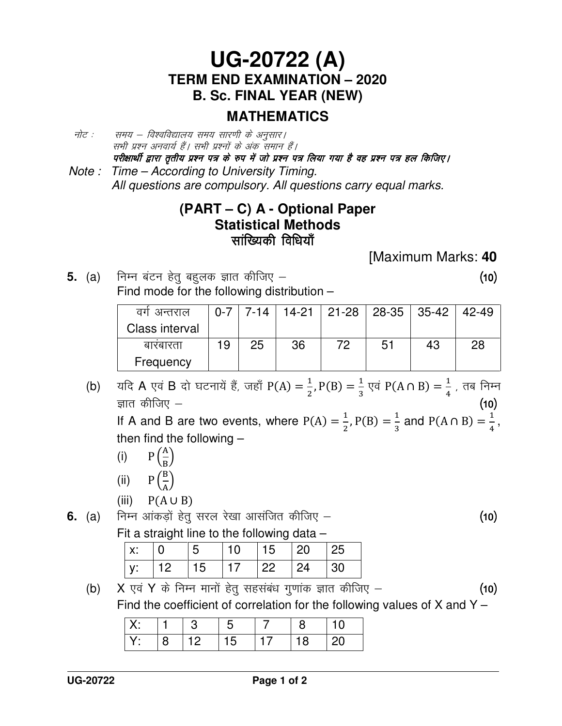## **UG-20722 (A) TERM END EXAMINATION – 2020 B. Sc. FINAL YEAR (NEW)**

### **MATHEMATICS**

- नोट : समय विश्वविद्यालय समय सारणी के अनुसार। सभी प्रश्न अनवार्य हैं। सभी प्रश्नों के अंक समान हैं। परीक्षार्थी द्वारा तृतीय प्रश्न पत्र के रुप में जो प्रश्न पत्र लिया गया है वह प्रश्न पत्र हल किजिए।
- Note : Time According to University Timing. All questions are compulsory. All questions carry equal marks.

#### **(PART – C) A - Optional Paper Statistical Methods**  Lkkaf[;dh fof/k;k¡ Lkkaf[;dh fof/k;k¡

[Maximum Marks: **40** 

**5.** (a) निम्न बंटन हेतु बहलक ज्ञात कीजिए –  $\qquad \qquad$   $\qquad$   $\qquad$   $\qquad$   $\qquad$   $\qquad$   $\qquad$   $\qquad$   $\qquad$   $\qquad$   $\qquad$   $\qquad$   $\qquad$   $\qquad$   $\qquad$   $\qquad$   $\qquad$   $\qquad$   $\qquad$   $\qquad$   $\qquad$   $\qquad$   $\qquad$   $\qquad$   $\qquad$   $\qquad$   $\qquad$   $\qquad$   $\qquad$ Find mode for the following distribution –

| वग अन्तराल     | $0 - 7$ | 7-14 |    |    | $14-21$   21-28   28-35   35-42 |    | 42-49 |
|----------------|---------|------|----|----|---------------------------------|----|-------|
| Class interval |         |      |    |    |                                 |    |       |
| बारबारता       | 19      | 25   | 36 | 72 | 51                              | 43 | 28    |
| Frequency      |         |      |    |    |                                 |    |       |

(b) यदि A एवं B दो घटनायें हैं, जहाँ P(A) =  $\frac{1}{2}$  $\frac{1}{2}$ , P(B) =  $\frac{1}{3}$  $\frac{1}{3}$  एवं P(A ∩ B) =  $\frac{1}{4}$  $\frac{1}{4}$  , तब निम्न $\frac{1}{4}$ ज्ञात कीजिए  $(10)$ 

If A and B are two events, where  $P(A) = \frac{1}{2}$  $\frac{1}{2}$ , P(B) =  $\frac{1}{3}$  $\frac{1}{3}$  and P(A  $\cap$  B) =  $\frac{1}{4}$  $\frac{1}{4}$  , then find the following –

- (i)  $P\left(\frac{A}{B}\right)$  $\frac{A}{B}$
- (ii)  $P\left(\frac{B}{A}\right)$  $\frac{2}{\mathrm{A}}$ 
	- $(iii)$  $P(A \cup B)$

**6.** (a) निम्न आंकड़ों हेतु सरल रेखा आसंजित कीजिए – **(10)** 

Fit a straight line to the following data –

| $\vert$ X: |            |            | 10  | 15           | -20        | 25 |
|------------|------------|------------|-----|--------------|------------|----|
| V:         | $\vert$ 12 | $\vert$ 15 | 117 | $ 22\rangle$ | $\vert$ 24 | ാറ |

<sup>(</sup>b) X एवं Y के निम्न मानों हेतू सहसंबंध गुणांक ज्ञात कीजिए –  $(10)$ Find the coefficient of correlation for the following values of  $X$  and  $Y -$ 

|  |  | $\blacksquare$ |  |  |
|--|--|----------------|--|--|
|  |  | ט ו            |  |  |